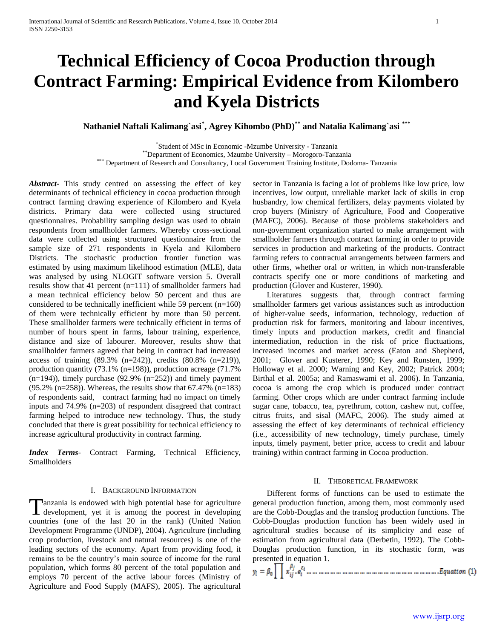# **Technical Efficiency of Cocoa Production through Contract Farming: Empirical Evidence from Kilombero and Kyela Districts**

**Nathaniel Naftali Kalimang`asi\* , Agrey Kihombo (PhD)\*\* and Natalia Kalimang`asi \*\*\***

\* Student of MSc in Economic -Mzumbe University - Tanzania \*\*Department of Economics, Mzumbe University – Morogoro-Tanzania

\*\*\* Department of Research and Consultancy, Local Government Training Institute, Dodoma-Tanzania

*Abstract***-** This study centred on assessing the effect of key determinants of technical efficiency in cocoa production through contract farming drawing experience of Kilombero and Kyela districts. Primary data were collected using structured questionnaires. Probability sampling design was used to obtain respondents from smallholder farmers. Whereby cross-sectional data were collected using structured questionnaire from the sample size of 271 respondents in Kyela and Kilombero Districts. The stochastic production frontier function was estimated by using maximum likelihood estimation (MLE), data was analysed by using NLOGIT software version 5. Overall results show that 41 percent (n=111) of smallholder farmers had a mean technical efficiency below 50 percent and thus are considered to be technically inefficient while 59 percent (n=160) of them were technically efficient by more than 50 percent. These smallholder farmers were technically efficient in terms of number of hours spent in farms, labour training, experience, distance and size of labourer. Moreover, results show that smallholder farmers agreed that being in contract had increased access of training (89.3% (n=242)), credits (80.8% (n=219)), production quantity (73.1% (n=198)), production acreage (71.7%  $(n=194)$ ), timely purchase (92.9%  $(n=252)$ ) and timely payment (95.2% (n=258)). Whereas, the results show that 67.47% (n=183) of respondents said, contract farming had no impact on timely inputs and 74.9% (n=203) of respondent disagreed that contract farming helped to introduce new technology. Thus, the study concluded that there is great possibility for technical efficiency to increase agricultural productivity in contract farming.

*Index Terms*- Contract Farming, Technical Efficiency, Smallholders

# I. BACKGROUND INFORMATION

anzania is endowed with high potential base for agriculture Tanzania is endowed with high potential base for agriculture<br>development, yet it is among the poorest in developing countries (one of the last 20 in the rank) (United Nation Development Programme (UNDP), 2004). Agriculture (including crop production, livestock and natural resources) is one of the leading sectors of the economy. Apart from providing food, it remains to be the country's main source of income for the rural population, which forms 80 percent of the total population and employs 70 percent of the active labour forces (Ministry of Agriculture and Food Supply (MAFS), 2005). The agricultural

sector in Tanzania is facing a lot of problems like low price, low incentives, low output, unreliable market lack of skills in crop husbandry, low chemical fertilizers, delay payments violated by crop buyers (Ministry of Agriculture, Food and Cooperative (MAFC), 2006). Because of those problems stakeholders and non-government organization started to make arrangement with smallholder farmers through contract farming in order to provide services in production and marketing of the products. Contract farming refers to contractual arrangements between farmers and other firms, whether oral or written, in which non-transferable contracts specify one or more conditions of marketing and production (Glover and Kusterer, 1990).

 Literatures suggests that, through contract farming smallholder farmers get various assistances such as introduction of higher-value seeds, information, technology, reduction of production risk for farmers, monitoring and labour incentives, timely inputs and production markets, credit and financial intermediation, reduction in the risk of price fluctuations, increased incomes and market access (Eaton and Shepherd, 2001; Glover and Kusterer, 1990; Key and Runsten, 1999; Holloway et al. 2000; Warning and Key, 2002; Patrick 2004; Birthal et al. 2005a; and Ramaswami et al. 2006). In Tanzania, cocoa is among the crop which is produced under contract farming. Other crops which are under contract farming include sugar cane, tobacco, tea, pyrethrum, cotton, cashew nut, coffee, citrus fruits, and sisal (MAFC, 2006). The study aimed at assessing the effect of key determinants of technical efficiency (i.e., accessibility of new technology, timely purchase, timely inputs, timely payment, better price, access to credit and labour training) within contract farming in Cocoa production.

#### II. THEORETICAL FRAMEWORK

 Different forms of functions can be used to estimate the general production function, among them, most commonly used are the Cobb-Douglas and the translog production functions. The Cobb-Douglas production function has been widely used in agricultural studies because of its simplicity and ease of estimation from agricultural data (Derbetin, 1992). The Cobb-Douglas production function, in its stochastic form, was

presented in equation 1.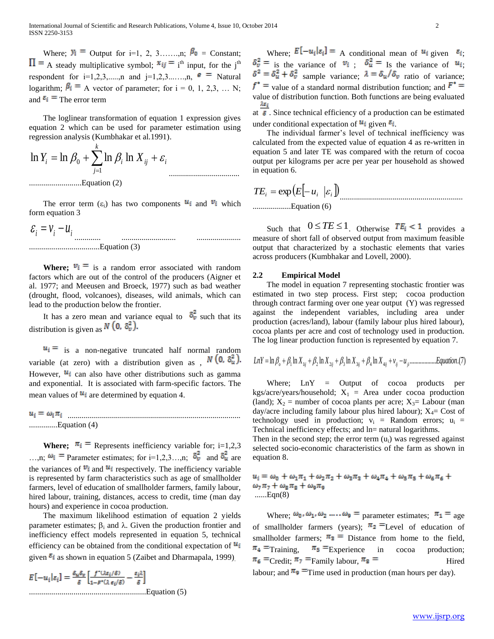Where;  $Y_i =$  Output for i=1, 2, 3……,n;  $\beta_0 =$  Constant; A steady multiplicative symbol;  $x_{ij} = i^{th}$  input, for the j<sup>th</sup> respondent for  $i=1,2,3,...,n$  and  $i=1,2,3,...,n$ ,  $\epsilon =$ Natural logarithm;  $\beta_i = A$  vector of parameter; for  $i = 0, 1, 2, 3, ...$  N; and  $\epsilon_i$  = The error term

 The loglinear transformation of equation 1 expression gives equation 2 which can be used for parameter estimation using regression analysis (Kumbhakar et al.1991).

*ij i k j Yi <sup>i</sup> <sup>X</sup>* ln ln ln ln 1 0 ..........................Equation (2)

The error term  $(\varepsilon_i)$  has two components  $u_i$  and  $v_i$  which form equation 3

...................................

$$
\mathcal{E}_i = V_i - U_i
$$
\n
$$
\dots
$$
\n
$$
\dots
$$
\nEquation (3)

**Where;**  $v_i = i$  is a random error associated with random factors which are out of the control of the producers (Aigner et al. 1977; and Meeusen and Broeck, 1977) such as bad weather (drought, flood, volcanoes), diseases, wild animals, which can lead to the production below the frontier.

It has a zero mean and variance equal to  $\delta_{\nu}^2$  such that its distribution is given as  $N(0, \delta_v^2)$ .

 $u_i =$  is a non-negative truncated half normal random variable (at zero) with a distribution given as ,  $N(0, \delta_u^2)$ . However,  $u_i$  can also have other distributions such as gamma and exponential. It is associated with farm-specific factors. The mean values of  $\mathbf{u}_i$  are determined by equation 4.

...................................................................................... ..............Equation (4)

**Where;**  $\pi_i$  = Represents inefficiency variable for; i=1,2,3 ...,n;  $\omega_i$  = Parameter estimates; for i=1,2,3...,n;  $\delta_v^2$  and  $\delta_u^2$  are the variances of  $v_i$  and  $u_i$  respectively. The inefficiency variable is represented by farm characteristics such as age of smallholder farmers, level of education of smallholder farmers, family labour, hired labour, training, distances, access to credit, time (man day hours) and experience in cocoa production.

 The maximum likelihood estimation of equation 2 yields parameter estimates;  $\beta_i$  and  $\lambda$ . Given the production frontier and inefficiency effect models represented in equation 5, technical efficiency can be obtained from the conditional expectation of  $u_i$ given  $\epsilon_i$  as shown in equation 5 (Zaibet and Dharmapala, 1999).

$$
E[-u_i|\varepsilon_i] = \frac{\delta_u \delta_v}{\delta} \left[ \frac{f^{\text{-}}(\lambda \varepsilon_i/\delta)}{1 - F^{\text{-}}(\lambda \varepsilon_i/\delta)} - \frac{\varepsilon_i \lambda}{\delta} \right]
$$
  
...........  
Equation (5)

Where:  $E[-u_i|\varepsilon_i] = A$  conditional mean of  $u_i$  given  $\varepsilon_i$ ;  $\delta_v^2 =$  is the variance of  $v_i$ ;  $\delta_u^2 =$  Is the variance of  $u_i$ .  $\delta^2 = \delta_u^2 + \delta_v^2$  sample variance;  $\lambda = \delta_u/\delta_v$  ratio of variance;  $f^*$  = value of a standard normal distribution function; and  $F^*$  = value of distribution function. Both functions are being evaluated λε<sub>ί</sub>

at  $\overline{\bullet}$ . Since technical efficiency of a production can be estimated under conditional expectation of  $u_i$  given  $\varepsilon_i$ .

 The individual farmer's level of technical inefficiency was calculated from the expected value of equation 4 as re-written in equation 5 and later TE was compared with the return of cocoa output per kilograms per acre per year per household as showed in equation 6.

 *TE<sup>i</sup> E u<sup>i</sup> <sup>i</sup>* exp ............................................................. ...................Equation (6)

Such that  $0 \leq TE \leq 1$ . Otherwise  $TE_i < 1$  provides a measure of short fall of observed output from maximum feasible output that characterized by a stochastic elements that varies across producers (Kumbhakar and Lovell, 2000).

## **2.2 Empirical Model**

 The model in equation 7 representing stochastic frontier was estimated in two step process. First step; cocoa production through contract farming over one year output (Y) was regressed against the independent variables, including area under production (acres/land), labour (family labour plus hired labour), cocoa plants per acre and cost of technology used in production. The log linear production function is represented by equation 7.

$$
LnY = \ln \beta_o + \beta_1 \ln X_{1ij} + \beta_2 \ln X_{2ij} + \beta_3 \ln X_{3ij} + \beta_4 \ln X_{4ij} + v_{ij} - u_{ji}
$$
............*Equation*.(7)

 Where; LnY = Output of cocoa products per kgs/acre/years/household;  $X_1$  = Area under cocoa production (land);  $X_2$  = number of cocoa plants per acre;  $X_3$ = Labour (man day/acre including family labour plus hired labour);  $X_4$ = Cost of technology used in production;  $v_i$  = Random errors;  $u_i$  = Technical inefficiency effects; and  $ln=$  natural logarithms.

Then in the second step; the error term  $(u_i)$  was regressed against selected socio-economic characteristics of the farm as shown in equation 8.

 $u_i = \omega_0 + \omega_1 \pi_1 + \omega_2 \pi_2 + \omega_3 \pi_3 + \omega_4 \pi_4 + \omega_5 \pi_5 + \omega_6 \pi_6 +$  $\omega_7 \pi_7 + \omega_8 \pi_8 + \omega_9 \pi_9$ ......Eqn(8)

Where;  $\omega_0$ ,  $\omega_1$ ,  $\omega_2$  ....,  $\omega_9$  = parameter estimates;  $\pi_1$  = age of smallholder farmers (years);  $\pi_2$  = Level of education of smallholder farmers;  $\pi_3$  = Distance from home to the field,  $\pi_4$  = Training,  $\pi_5$  = Experience in cocoa production;  $\pi_6$  = Credit;  $\pi_7$  = Family labour,  $\pi_8$  = Hired labour; and  $\pi$ <sup>9</sup> = Time used in production (man hours per day).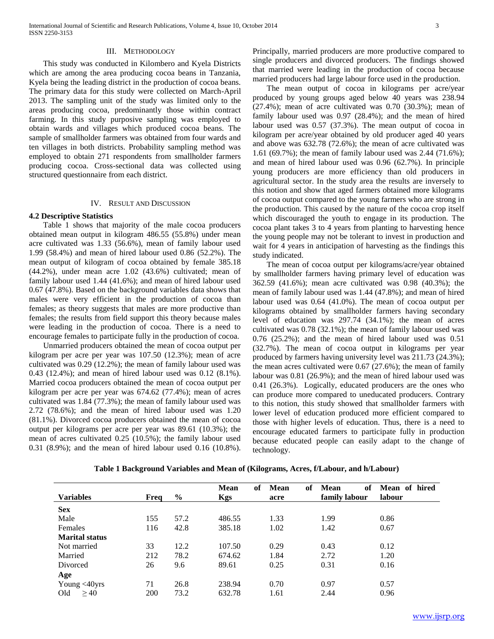#### III. METHODOLOGY

 This study was conducted in Kilombero and Kyela Districts which are among the area producing cocoa beans in Tanzania, Kyela being the leading district in the production of cocoa beans. The primary data for this study were collected on March-April 2013. The sampling unit of the study was limited only to the areas producing cocoa, predominantly those within contract farming. In this study purposive sampling was employed to obtain wards and villages which produced cocoa beans. The sample of smallholder farmers was obtained from four wards and ten villages in both districts. Probability sampling method was employed to obtain 271 respondents from smallholder farmers producing cocoa. Cross-sectional data was collected using structured questionnaire from each district.

# IV. RESULT AND DISCUSSION

#### **4.2 Descriptive Statistics**

 Table 1 shows that majority of the male cocoa producers obtained mean output in kilogram 486.55 (55.8%) under mean acre cultivated was 1.33 (56.6%), mean of family labour used 1.99 (58.4%) and mean of hired labour used 0.86 (52.2%). The mean output of kilogram of cocoa obtained by female 385.18 (44.2%), under mean acre 1.02 (43.6%) cultivated; mean of family labour used 1.44 (41.6%); and mean of hired labour used 0.67 (47.8%). Based on the background variables data shows that males were very efficient in the production of cocoa than females; as theory suggests that males are more productive than females; the results from field support this theory because males were leading in the production of cocoa. There is a need to encourage females to participate fully in the production of cocoa.

 Unmarried producers obtained the mean of cocoa output per kilogram per acre per year was 107.50 (12.3%); mean of acre cultivated was 0.29 (12.2%); the mean of family labour used was 0.43 (12.4%); and mean of hired labour used was 0.12 (8.1%). Married cocoa producers obtained the mean of cocoa output per kilogram per acre per year was 674.62 (77.4%); mean of acres cultivated was 1.84 (77.3%); the mean of family labour used was 2.72 (78.6%); and the mean of hired labour used was 1.20 (81.1%). Divorced cocoa producers obtained the mean of cocoa output per kilograms per acre per year was 89.61 (10.3%); the mean of acres cultivated 0.25 (10.5%); the family labour used 0.31 (8.9%); and the mean of hired labour used 0.16 (10.8%).

Principally, married producers are more productive compared to single producers and divorced producers. The findings showed that married were leading in the production of cocoa because married producers had large labour force used in the production.

 The mean output of cocoa in kilograms per acre/year produced by young groups aged below 40 years was 238.94 (27.4%); mean of acre cultivated was 0.70 (30.3%); mean of family labour used was 0.97 (28.4%); and the mean of hired labour used was 0.57 (37.3%). The mean output of cocoa in kilogram per acre/year obtained by old producer aged 40 years and above was 632.78 (72.6%); the mean of acre cultivated was 1.61 (69.7%); the mean of family labour used was 2.44 (71.6%); and mean of hired labour used was 0.96 (62.7%). In principle young producers are more efficiency than old producers in agricultural sector. In the study area the results are inversely to this notion and show that aged farmers obtained more kilograms of cocoa output compared to the young farmers who are strong in the production. This caused by the nature of the cocoa crop itself which discouraged the youth to engage in its production. The cocoa plant takes 3 to 4 years from planting to harvesting hence the young people may not be tolerant to invest in production and wait for 4 years in anticipation of harvesting as the findings this study indicated.

 The mean of cocoa output per kilograms/acre/year obtained by smallholder farmers having primary level of education was 362.59 (41.6%); mean acre cultivated was 0.98 (40.3%); the mean of family labour used was 1.44 (47.8%); and mean of hired labour used was 0.64 (41.0%). The mean of cocoa output per kilograms obtained by smallholder farmers having secondary level of education was 297.74 (34.1%); the mean of acres cultivated was 0.78 (32.1%); the mean of family labour used was 0.76 (25.2%); and the mean of hired labour used was 0.51 (32.7%). The mean of cocoa output in kilograms per year produced by farmers having university level was 211.73 (24.3%); the mean acres cultivated were 0.67 (27.6%); the mean of family labour was 0.81 (26.9%); and the mean of hired labour used was 0.41 (26.3%). Logically, educated producers are the ones who can produce more compared to uneducated producers. Contrary to this notion, this study showed that smallholder farmers with lower level of education produced more efficient compared to those with higher levels of education. Thus, there is a need to encourage educated farmers to participate fully in production because educated people can easily adapt to the change of technology.

|                       |      |               | <b>Mean</b><br>of | Mean<br>оf | Mean<br>of    | Mean of hired |
|-----------------------|------|---------------|-------------------|------------|---------------|---------------|
| <b>Variables</b>      | Freq | $\frac{0}{0}$ | <b>Kgs</b>        | acre       | family labour | labour        |
| <b>Sex</b>            |      |               |                   |            |               |               |
| Male                  | 155  | 57.2          | 486.55            | 1.33       | 1.99          | 0.86          |
| Females               | 116  | 42.8          | 385.18            | 1.02       | 1.42          | 0.67          |
| <b>Marital status</b> |      |               |                   |            |               |               |
| Not married           | 33   | 12.2          | 107.50            | 0.29       | 0.43          | 0.12          |
| Married               | 212  | 78.2          | 674.62            | 1.84       | 2.72          | 1.20          |
| Divorced              | 26   | 9.6           | 89.61             | 0.25       | 0.31          | 0.16          |
| Age                   |      |               |                   |            |               |               |
| Young <40yrs          | 71   | 26.8          | 238.94            | 0.70       | 0.97          | 0.57          |
| >40<br>Old            | 200  | 73.2          | 632.78            | 1.61       | 2.44          | 0.96          |

**Table 1 Background Variables and Mean of (Kilograms, Acres, f/Labour, and h/Labour)**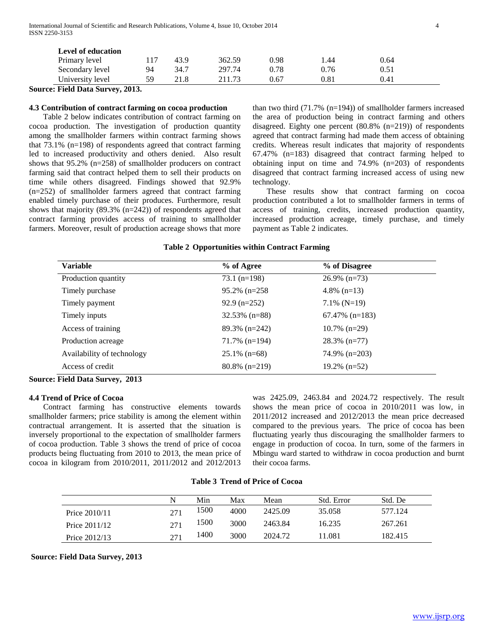| Level of education |    |      |        |      |            |      |  |
|--------------------|----|------|--------|------|------------|------|--|
| Primary level      |    | 43.9 | 362.59 | 0.98 | 1.44       | 0.64 |  |
| Secondary level    | 94 | 34.7 | 297.74 | 0.78 | 0.76       | 0.51 |  |
| University level   | 59 | 21.8 | 211.73 | 0.67 | $\rm 0.81$ | 0.41 |  |

**Source: Field Data Survey, 2013.** 

#### **4.3 Contribution of contract farming on cocoa production**

 Table 2 below indicates contribution of contract farming on cocoa production. The investigation of production quantity among the smallholder farmers within contract farming shows that 73.1% (n=198) of respondents agreed that contract farming led to increased productivity and others denied. Also result shows that 95.2% (n=258) of smallholder producers on contract farming said that contract helped them to sell their products on time while others disagreed. Findings showed that 92.9% (n=252) of smallholder farmers agreed that contract farming enabled timely purchase of their produces. Furthermore, result shows that majority (89.3% (n=242)) of respondents agreed that contract farming provides access of training to smallholder farmers. Moreover, result of production acreage shows that more

than two third (71.7% (n=194)) of smallholder farmers increased the area of production being in contract farming and others disagreed. Eighty one percent (80.8% (n=219)) of respondents agreed that contract farming had made them access of obtaining credits. Whereas result indicates that majority of respondents 67.47% (n=183) disagreed that contract farming helped to obtaining input on time and 74.9% (n=203) of respondents disagreed that contract farming increased access of using new technology.

 These results show that contract farming on cocoa production contributed a lot to smallholder farmers in terms of access of training, credits, increased production quantity, increased production acreage, timely purchase, and timely payment as Table 2 indicates.

| <b>Variable</b>            | % of Agree       | % of Disagree     |  |
|----------------------------|------------------|-------------------|--|
| Production quantity        | $73.1$ (n=198)   | $26.9\%$ (n=73)   |  |
| Timely purchase            | $95.2\%$ (n=258) | 4.8% $(n=13)$     |  |
| Timely payment             | $92.9$ (n=252)   | $7.1\%$ (N=19)    |  |
| Timely inputs              | $32.53\%$ (n=88) | $67.47\%$ (n=183) |  |
| Access of training         | $89.3\%$ (n=242) | $10.7\%$ (n=29)   |  |
| Production acreage         | $71.7\%$ (n=194) | $28.3\%$ (n=77)   |  |
| Availability of technology | $25.1\%$ (n=68)  | $74.9\%$ (n=203)  |  |
| Access of credit           | $80.8\%$ (n=219) | $19.2\%$ (n=52)   |  |

#### **Table 2 Opportunities within Contract Farming**

**Source: Field Data Survey, 2013**

#### **4.4 Trend of Price of Cocoa**

 Contract farming has constructive elements towards smallholder farmers; price stability is among the element within contractual arrangement. It is asserted that the situation is inversely proportional to the expectation of smallholder farmers of cocoa production. Table 3 shows the trend of price of cocoa products being fluctuating from 2010 to 2013, the mean price of cocoa in kilogram from 2010/2011, 2011/2012 and 2012/2013

was 2425.09, 2463.84 and 2024.72 respectively. The result shows the mean price of cocoa in 2010/2011 was low, in 2011/2012 increased and 2012/2013 the mean price decreased compared to the previous years. The price of cocoa has been fluctuating yearly thus discouraging the smallholder farmers to engage in production of cocoa. In turn, some of the farmers in Mbingu ward started to withdraw in cocoa production and burnt their cocoa farms.

#### **Table 3 Trend of Price of Cocoa**

|               | N   | Min  | Max  | Mean    | Std. Error | Std. De |
|---------------|-----|------|------|---------|------------|---------|
| Price 2010/11 | 271 | 1500 | 4000 | 2425.09 | 35.058     | 577.124 |
| Price 2011/12 | 271 | 1500 | 3000 | 2463.84 | 16.235     | 267.261 |
| Price 2012/13 | 271 | 1400 | 3000 | 2024.72 | 11.081     | 182.415 |

#### **Source: Field Data Survey, 2013**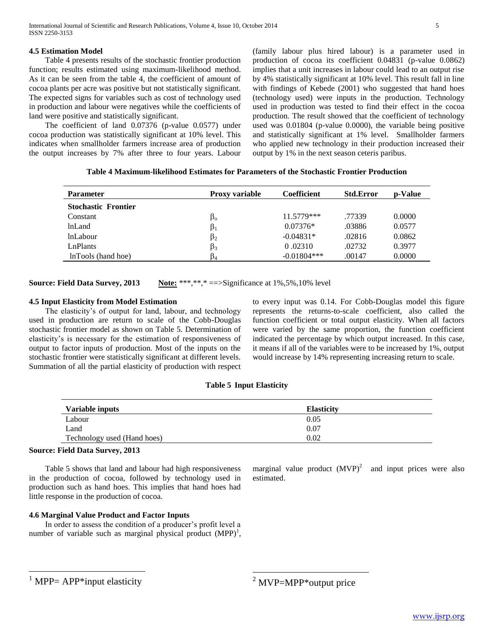International Journal of Scientific and Research Publications, Volume 4, Issue 10, October 2014 5 ISSN 2250-3153

#### **4.5 Estimation Model**

 Table 4 presents results of the stochastic frontier production function; results estimated using maximum-likelihood method. As it can be seen from the table 4, the coefficient of amount of cocoa plants per acre was positive but not statistically significant. The expected signs for variables such as cost of technology used in production and labour were negatives while the coefficients of land were positive and statistically significant.

 The coefficient of land 0.07376 (p-value 0.0577) under cocoa production was statistically significant at 10% level. This indicates when smallholder farmers increase area of production the output increases by 7% after three to four years. Labour (family labour plus hired labour) is a parameter used in production of cocoa its coefficient 0.04831 (p-value 0.0862) implies that a unit increases in labour could lead to an output rise by 4% statistically significant at 10% level. This result fall in line with findings of Kebede (2001) who suggested that hand hoes (technology used) were inputs in the production. Technology used in production was tested to find their effect in the cocoa production. The result showed that the coefficient of technology used was 0.01804 (p-value 0.0000), the variable being positive and statistically significant at 1% level. Smallholder farmers who applied new technology in their production increased their output by 1% in the next season ceteris paribus.

| Table 4 Maximum-likelihood Estimates for Parameters of the Stochastic Frontier Production |
|-------------------------------------------------------------------------------------------|
|-------------------------------------------------------------------------------------------|

| Parameter                  | <b>Proxy variable</b> | <b>Coefficient</b> | <b>Std.Error</b> | p-Value |
|----------------------------|-----------------------|--------------------|------------------|---------|
| <b>Stochastic Frontier</b> |                       |                    |                  |         |
| Constant                   | $\beta_{o}$           | 11.5779***         | .77339           | 0.0000  |
| lnLand                     | $\beta_1$             | $0.07376*$         | .03886           | 0.0577  |
| <i>lnLabour</i>            | $\beta_2$             | $-0.04831*$        | .02816           | 0.0862  |
| LnPlants                   | $\beta_3$             | 0.02310            | .02732           | 0.3977  |
| InTools (hand hoe)         | $\beta_4$             | $-0.01804$ ***     | .00147           | 0.0000  |

**Source: Field Data Survey, 2013** Note: \*\*\*,\*\*,\* = > Significance at 1%,5%,10% level

#### **4.5 Input Elasticity from Model Estimation**

 The elasticity's of output for land, labour, and technology used in production are return to scale of the Cobb-Douglas stochastic frontier model as shown on Table 5. Determination of elasticity's is necessary for the estimation of responsiveness of output to factor inputs of production. Most of the inputs on the stochastic frontier were statistically significant at different levels. Summation of all the partial elasticity of production with respect to every input was 0.14. For Cobb-Douglas model this figure represents the returns-to-scale coefficient, also called the function coefficient or total output elasticity. When all factors were varied by the same proportion, the function coefficient indicated the percentage by which output increased. In this case, it means if all of the variables were to be increased by 1%, output would increase by 14% representing increasing return to scale.

# **Table 5 Input Elasticity**

| Variable inputs             | <b>Elasticity</b> |  |
|-----------------------------|-------------------|--|
| Labour                      | 0.05              |  |
| Land                        | 0.07              |  |
| Technology used (Hand hoes) | 0.02              |  |

 $\overline{a}$ 

#### **Source: Field Data Survey, 2013**

 $1$  MPP= APP\*input elasticity

 $\overline{a}$ 

 Table 5 shows that land and labour had high responsiveness in the production of cocoa, followed by technology used in production such as hand hoes. This implies that hand hoes had little response in the production of cocoa.

# **4.6 Marginal Value Product and Factor Inputs**

 In order to assess the condition of a producer's profit level a number of variable such as marginal physical product  $(MPP)^1$ ,

marginal value product  $(MVP)^2$  and input prices were also estimated.

 $2$  MVP=MPP $*$ output price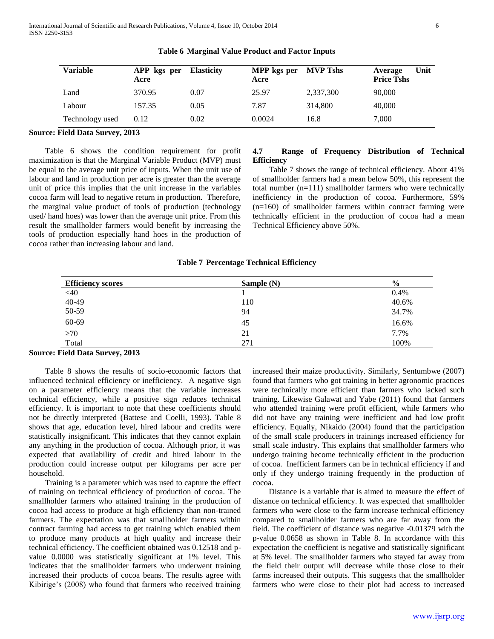| <b>Variable</b> | APP kgs per Elasticity<br>Acre |      | MPP kgs per MVP Tshs<br>Acre |           | Unit<br>Average<br><b>Price Tshs</b> |  |
|-----------------|--------------------------------|------|------------------------------|-----------|--------------------------------------|--|
| Land            | 370.95                         | 0.07 | 25.97                        | 2,337,300 | 90,000                               |  |
| Labour          | 157.35                         | 0.05 | 7.87                         | 314,800   | 40,000                               |  |
| Technology used | 0.12                           | 0.02 | 0.0024                       | 16.8      | 7,000                                |  |

**Table 6 Marginal Value Product and Factor Inputs**

# **Source: Field Data Survey, 2013**

 Table 6 shows the condition requirement for profit maximization is that the Marginal Variable Product (MVP) must be equal to the average unit price of inputs. When the unit use of labour and land in production per acre is greater than the average unit of price this implies that the unit increase in the variables cocoa farm will lead to negative return in production. Therefore, the marginal value product of tools of production (technology used/ hand hoes) was lower than the average unit price. From this result the smallholder farmers would benefit by increasing the tools of production especially hand hoes in the production of cocoa rather than increasing labour and land.

# **4.7 Range of Frequency Distribution of Technical Efficiency**

 Table 7 shows the range of technical efficiency. About 41% of smallholder farmers had a mean below 50%, this represent the total number (n=111) smallholder farmers who were technically inefficiency in the production of cocoa. Furthermore, 59% (n=160) of smallholder farmers within contract farming were technically efficient in the production of cocoa had a mean Technical Efficiency above 50%.

|  | Table 7 Percentage Technical Efficiency |  |  |
|--|-----------------------------------------|--|--|
|--|-----------------------------------------|--|--|

| <b>Efficiency scores</b> | Sample (N) | $\frac{6}{9}$ |
|--------------------------|------------|---------------|
| $<$ 40                   |            | 0.4%          |
| 40-49                    | 110        | 40.6%         |
| 50-59                    | 94         | 34.7%         |
| 60-69                    | 45         | 16.6%         |
| $\geq 70$                | 21         | 7.7%          |
| Total                    | 271        | 100%          |

#### **Source: Field Data Survey, 2013**

 Table 8 shows the results of socio-economic factors that influenced technical efficiency or inefficiency. A negative sign on a parameter efficiency means that the variable increases technical efficiency, while a positive sign reduces technical efficiency. It is important to note that these coefficients should not be directly interpreted (Battese and Coelli, 1993). Table 8 shows that age, education level, hired labour and credits were statistically insignificant. This indicates that they cannot explain any anything in the production of cocoa. Although prior, it was expected that availability of credit and hired labour in the production could increase output per kilograms per acre per household.

 Training is a parameter which was used to capture the effect of training on technical efficiency of production of cocoa. The smallholder farmers who attained training in the production of cocoa had access to produce at high efficiency than non-trained farmers. The expectation was that smallholder farmers within contract farming had access to get training which enabled them to produce many products at high quality and increase their technical efficiency. The coefficient obtained was 0.12518 and pvalue 0.0000 was statistically significant at 1% level. This indicates that the smallholder farmers who underwent training increased their products of cocoa beans. The results agree with Kibirige's (2008) who found that farmers who received training

increased their maize productivity. Similarly, Sentumbwe (2007) found that farmers who got training in better agronomic practices were technically more efficient than farmers who lacked such training. Likewise Galawat and Yabe (2011) found that farmers who attended training were profit efficient, while farmers who did not have any training were inefficient and had low profit efficiency. Equally, Nikaido (2004) found that the participation of the small scale producers in trainings increased efficiency for small scale industry. This explains that smallholder farmers who undergo training become technically efficient in the production of cocoa. Inefficient farmers can be in technical efficiency if and only if they undergo training frequently in the production of cocoa.

 Distance is a variable that is aimed to measure the effect of distance on technical efficiency. It was expected that smallholder farmers who were close to the farm increase technical efficiency compared to smallholder farmers who are far away from the field. The coefficient of distance was negative -0.01379 with the p-value 0.0658 as shown in Table 8. In accordance with this expectation the coefficient is negative and statistically significant at 5% level. The smallholder farmers who stayed far away from the field their output will decrease while those close to their farms increased their outputs. This suggests that the smallholder farmers who were close to their plot had access to increased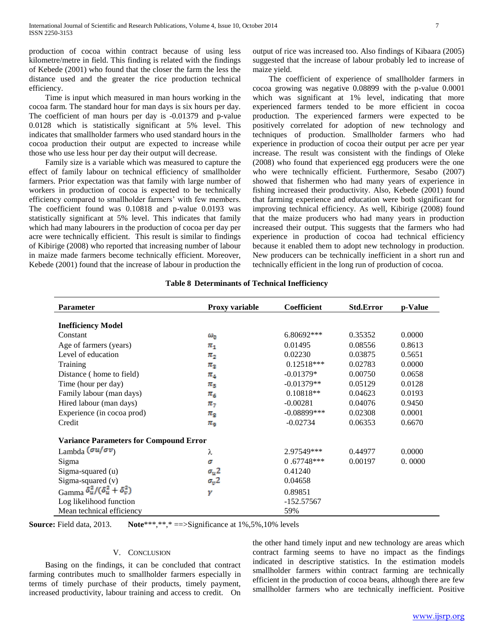production of cocoa within contract because of using less kilometre/metre in field. This finding is related with the findings of Kebede (2001) who found that the closer the farm the less the distance used and the greater the rice production technical efficiency.

 Time is input which measured in man hours working in the cocoa farm. The standard hour for man days is six hours per day. The coefficient of man hours per day is -0.01379 and p-value 0.0128 which is statistically significant at 5% level. This indicates that smallholder farmers who used standard hours in the cocoa production their output are expected to increase while those who use less hour per day their output will decrease.

 Family size is a variable which was measured to capture the effect of family labour on technical efficiency of smallholder farmers. Prior expectation was that family with large number of workers in production of cocoa is expected to be technically efficiency compared to smallholder farmers' with few members. The coefficient found was 0.10818 and p-value 0.0193 was statistically significant at 5% level. This indicates that family which had many labourers in the production of cocoa per day per acre were technically efficient. This result is similar to findings of Kibirige (2008) who reported that increasing number of labour in maize made farmers become technically efficient. Moreover, Kebede (2001) found that the increase of labour in production the

output of rice was increased too. Also findings of Kibaara (2005) suggested that the increase of labour probably led to increase of maize yield.

 The coefficient of experience of smallholder farmers in cocoa growing was negative 0.08899 with the p-value 0.0001 which was significant at 1% level, indicating that more experienced farmers tended to be more efficient in cocoa production. The experienced farmers were expected to be positively correlated for adoption of new technology and techniques of production. Smallholder farmers who had experience in production of cocoa their output per acre per year increase. The result was consistent with the findings of Oleke (2008) who found that experienced egg producers were the one who were technically efficient. Furthermore, Sesabo (2007) showed that fishermen who had many years of experience in fishing increased their productivity. Also, Kebede (2001) found that farming experience and education were both significant for improving technical efficiency. As well, Kibirige (2008) found that the maize producers who had many years in production increased their output. This suggests that the farmers who had experience in production of cocoa had technical efficiency because it enabled them to adopt new technology in production. New producers can be technically inefficient in a short run and technically efficient in the long run of production of cocoa.

| <b>Parameter</b>                              | <b>Proxy variable</b> | Coefficient    | <b>Std.Error</b> | p-Value |
|-----------------------------------------------|-----------------------|----------------|------------------|---------|
|                                               |                       |                |                  |         |
| <b>Inefficiency Model</b>                     |                       |                |                  |         |
| Constant                                      | $\omega_{0}$          | $6.80692***$   | 0.35352          | 0.0000  |
| Age of farmers (years)                        | $\pi_1$               | 0.01495        | 0.08556          | 0.8613  |
| Level of education                            | $\pi_{2}$             | 0.02230        | 0.03875          | 0.5651  |
| Training                                      | $\pi_{2}$             | $0.12518***$   | 0.02783          | 0.0000  |
| Distance (home to field)                      | $\pi_{\mathtt{A}}$    | $-0.01379*$    | 0.00750          | 0.0658  |
| Time (hour per day)                           | $\pi_{\mathbf{s}}$    | $-0.01379**$   | 0.05129          | 0.0128  |
| Family labour (man days)                      | $\pi_6$               | $0.10818**$    | 0.04623          | 0.0193  |
| Hired labour (man days)                       | $\pi_{\tau}$          | $-0.00281$     | 0.04076          | 0.9450  |
| Experience (in cocoa prod)                    | $\pi_{\text{g}}$      | $-0.08899$ *** | 0.02308          | 0.0001  |
| Credit                                        | $\pi_\mathsf{q}$      | $-0.02734$     | 0.06353          | 0.6670  |
| <b>Variance Parameters for Compound Error</b> |                       |                |                  |         |
| Lambda $(\sigma u/\sigma v)$                  | λ                     | 2.97549***     | 0.44977          | 0.0000  |
| Sigma                                         | σ                     | $0.67748***$   | 0.00197          | 0.0000  |
| Sigma-squared (u)                             | $\sigma_u$ 2          | 0.41240        |                  |         |
| Sigma-squared (v)                             | $\sigma_v$ 2          | 0.04658        |                  |         |
| Gamma $\delta_u^2/(\delta_u^2+\delta_v^2)$    | γ                     | 0.89851        |                  |         |
| Log likelihood function                       |                       | $-152.57567$   |                  |         |
| Mean technical efficiency                     |                       | 59%            |                  |         |

|  | <b>Table 8 Determinants of Technical Inefficiency</b> |  |  |  |
|--|-------------------------------------------------------|--|--|--|
|--|-------------------------------------------------------|--|--|--|

**Source:** Field data, 2013. **Note**\*\*\*,\*\*,\* = = > Significance at 1%,5%,10% levels

# V. CONCLUSION

 Basing on the findings, it can be concluded that contract farming contributes much to smallholder farmers especially in terms of timely purchase of their products, timely payment, increased productivity, labour training and access to credit. On

the other hand timely input and new technology are areas which contract farming seems to have no impact as the findings indicated in descriptive statistics. In the estimation models smallholder farmers within contract farming are technically efficient in the production of cocoa beans, although there are few smallholder farmers who are technically inefficient. Positive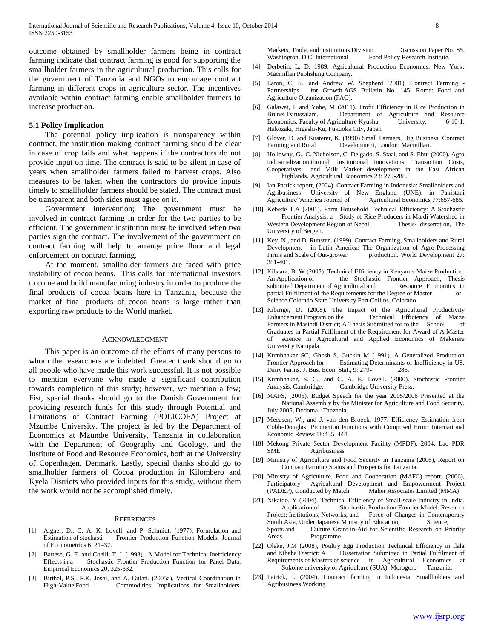outcome obtained by smallholder farmers being in contract farming indicate that contract farming is good for supporting the smallholder farmers in the agricultural production. This calls for the government of Tanzania and NGOs to encourage contract farming in different crops in agriculture sector. The incentives available within contract farming enable smallholder farmers to increase production.

#### **5.1 Policy Implication**

 The potential policy implication is transparency within contract, the institution making contract farming should be clear in case of crop fails and what happens if the contractors do not provide input on time. The contract is said to be silent in case of years when smallholder farmers failed to harvest crops. Also measures to be taken when the contractors do provide inputs timely to smallholder farmers should be stated. The contract must be transparent and both sides must agree on it.

 Government intervention; The government must be involved in contract farming in order for the two parties to be efficient. The government institution must be involved when two parties sign the contract. The involvement of the government on contract farming will help to arrange price floor and legal enforcement on contract farming.

 At the moment, smallholder farmers are faced with price instability of cocoa beans. This calls for international investors to come and build manufacturing industry in order to produce the final products of cocoa beans here in Tanzania, because the market of final products of cocoa beans is large rather than exporting raw products to the World market.

#### ACKNOWLEDGMENT

 This paper is an outcome of the efforts of many persons to whom the researchers are indebted. Greater thank should go to all people who have made this work successful. It is not possible to mention everyone who made a significant contribution towards completion of this study; however, we mention a few; Fist, special thanks should go to the Danish Government for providing research funds for this study through Potential and Limitations of Contract Farming (POLICOFA) Project at Mzumbe University. The project is led by the Department of Economics at Mzumbe University, Tanzania in collaboration with the Department of Geography and Geology, and the Institute of Food and Resource Economics, both at the University of Copenhagen, Denmark. Lastly, special thanks should go to smallholder farmers of Cocoa production in Kilombero and Kyela Districts who provided inputs for this study, without them the work would not be accomplished timely.

#### **REFERENCES**

- [1] Aigner, D., C. A. K. Lovell, and P. Schmidt. (1977). Formulation and Estimation of stochasti Frontier Production Function Models. Journal of Econometrics 6: 21–37.
- [2] Battese, G. E. and Coelli, T. J. (1993). A Model for Technical Inefficiency Effects in a Stochastic Frontier Production Function for Panel Data. Empirical Economics 20, 325-332.
- [3] Birthal, P.S., P.K. Joshi, and A. Gulati. (2005a). Vertical Coordination in High-Value Food Commodities: Implications for Smallholders.

Markets, Trade, and Institutions Division Discussion Paper No. 85. Washington, D.C. International Food Policy Research Institute.

- [4] Derbetin, L. D. 1989. Agricultural Production Economics. New York: Macmillan Publishing Company.
- [5] Eaton, C. S., and Andrew W. Shepherd (2001). Contract Farming Partnerships for Growth.AGS Bulletin No. 145. Rome: Food and Agriculture Organization (FAO).
- [6] Galawat, F and Yabe, M (2011). Profit Efficiency in Rice Production in Brunei Darussalam, Department of Agriculture and Resource Economics, Faculty of Agriculture Kyushu University, 6-10-1, Hakozaki, Higashi-Ku, Fukuoka City, Japan
- [7] Glover, D. and Kusterer, K. (1990) Small Farmers, Big Business: Contract Farming and Rural Development, London: Macmillan.
- [8] Holloway, G., C. Nicholson, C. Delgado, S. Staal, and S. Ehui (2000). Agro industrialization through institutional innovations: Transaction Costs, Cooperatives and Milk Market development in the East African highlands. Agricultural Economics 23: 279-288.
- [9] Ian Patrick report, (2004). Contract Farming in Indonesia: Smallholders and Agribusiness University of New England (UNE). in Pakistani Agriculture"America Journal of Agricultural Economics 77:657-685.
- [10] Kebede T.A (2001). Farm Household Technical Efficiency: A Stochastic Frontier Analysis, a Study of Rice Producers in Mardi Watershed in Western Development Region of Nepal. Thesis/ dissertation, The University of Bergen.
- [11] Key, N., and D. Runsten. (1999). Contract Farming, Smallholders and Rural Development in Latin America: The Organization of Agro-Processing production. World Development 27: 381-401.
- [12] Kibaara, B. W (2005). Technical Efficiency in Kenyan's Maize Production: An Application of the Stochastic Frontier Approach, Thesis submitted Department of Agricultural and Resource Economics in partial Fulfilment of the Requirements for the Degree of Master of Science Colorado State University Fort Collins, Colorado
- [13] Kibirige, D. (2008). The Impact of the Agricultural Productivity Enhancement Program on the Technical Efficiency of Maize Farmers in Masindi District; A Thesis Submitted for to the School of Graduates in Partial Fulfilment of the Requirement for Award of A Master of science in Agricultural and Applied Economics of Makerere University Kampala.
- [14] Kumbhakar SC, Ghosh S, Guckin M (1991). A Generalized Production Frontier Approach for Estimating Determinants of Inefficiency in US. Dairy Farms. J. Bus. Econ. Stat., 9: 279- 286.
- [15] Kumbhakar, S. C., and C. A. K. Lovell. (2000). Stochastic Frontier Analysis. Cambridge: Cambridge University Press.
- [16] MAFS, (2005). Budget Speech for the year 2005/2006 Presented at the National Assembly by the Minister for Agriculture and Food Security. July 2005, Dodoma –Tanzania.
- [17] Meeusen, W., and J. van den Broeck. 1977. Efficiency Estimation from Cobb–Douglas Production Functions with Composed Error. International Economic Review 18:435–444.
- [18] Mekong Private Sector Development Facility (MPDF). 2004. Lao PDR SME Agribusiness
- [19] Ministry of Agriculture and Food Security in Tanzania (2006), Report on Contract Farming Status and Prospects for Tanzania.
- [20] Ministry of Agriculture, Food and Cooperation (MAFC) report, (2006), Participatory Agricultural Development and Empowerment Project (PADEP), Conducted by Match Maker Associates Limited (MMA)
- [21] Nikaido, Y (2004). Technical Efficiency of Small-scale Industry in India, Application of Stochastic Production Frontier Model. Research Project: Institutions, Networks, and Force of Changes in Contemporary South Asia, Under Japanese Ministry of Education, Science, Sports and Culture Grant-in-Aid for Scientific Research on Priority Areas Programme.
- [22] Oleke, J.M (2008), Poultry Egg Production Technical Efficiency in Ilala and Kibaha District; A Dissertation Submitted in Partial Fulfilment of Requirements of Masters of science in Agricultural Economics at Sokoine university of Agriculture (SUA), Morogoro Tanzania.
- [23] Patrick, I. (2004), Contract farming in Indonesia: Smallholders and Agribusiness Working